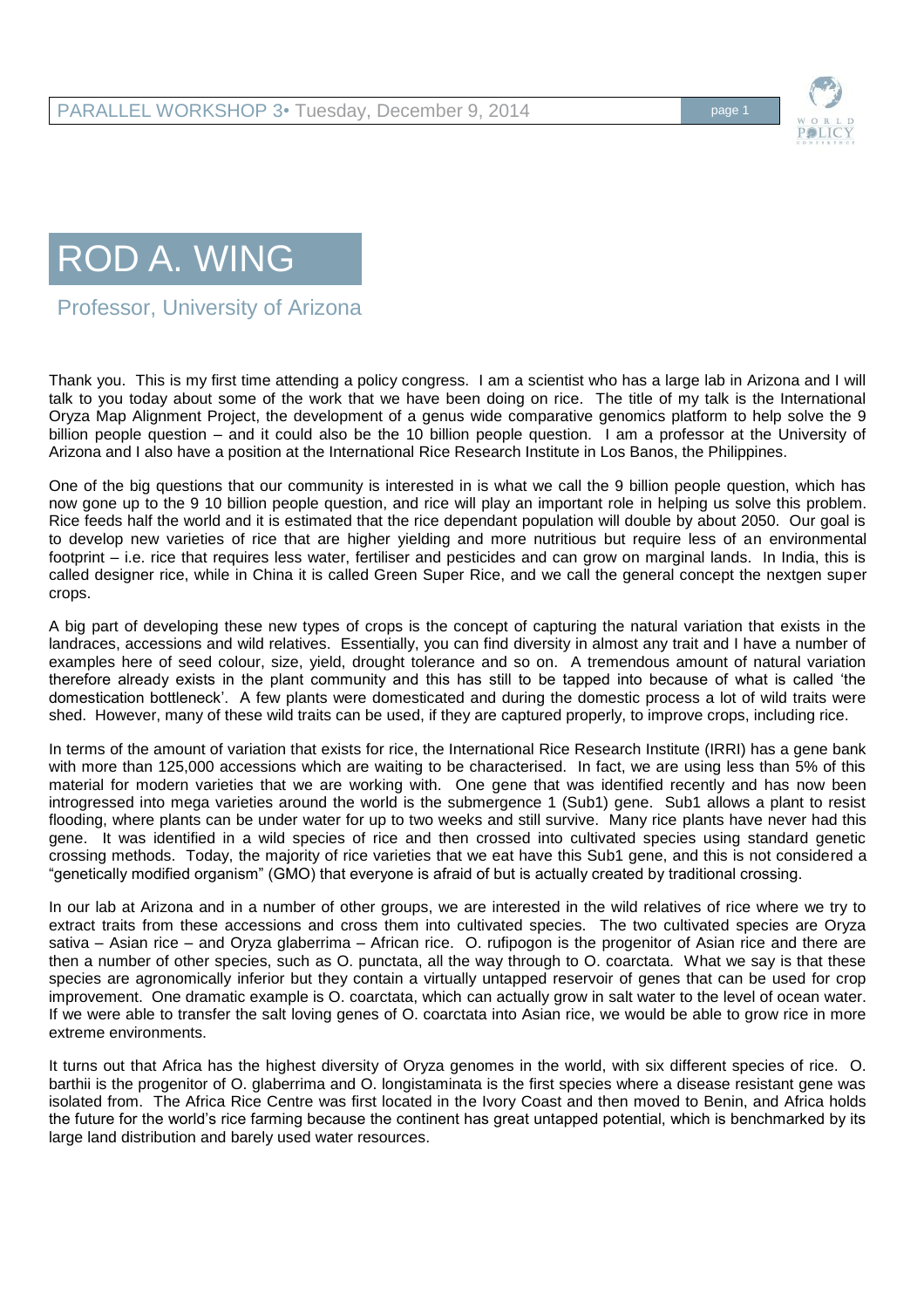

## ROD A. WING

Professor, University of Arizona

Thank you. This is my first time attending a policy congress. I am a scientist who has a large lab in Arizona and I will talk to you today about some of the work that we have been doing on rice. The title of my talk is the International Oryza Map Alignment Project, the development of a genus wide comparative genomics platform to help solve the 9 billion people question – and it could also be the 10 billion people question. I am a professor at the University of Arizona and I also have a position at the International Rice Research Institute in Los Banos, the Philippines.

One of the big questions that our community is interested in is what we call the 9 billion people question, which has now gone up to the 9 10 billion people question, and rice will play an important role in helping us solve this problem. Rice feeds half the world and it is estimated that the rice dependant population will double by about 2050. Our goal is to develop new varieties of rice that are higher yielding and more nutritious but require less of an environmental footprint – i.e. rice that requires less water, fertiliser and pesticides and can grow on marginal lands. In India, this is called designer rice, while in China it is called Green Super Rice, and we call the general concept the nextgen super crops.

A big part of developing these new types of crops is the concept of capturing the natural variation that exists in the landraces, accessions and wild relatives. Essentially, you can find diversity in almost any trait and I have a number of examples here of seed colour, size, yield, drought tolerance and so on. A tremendous amount of natural variation therefore already exists in the plant community and this has still to be tapped into because of what is called 'the domestication bottleneck'. A few plants were domesticated and during the domestic process a lot of wild traits were shed. However, many of these wild traits can be used, if they are captured properly, to improve crops, including rice.

In terms of the amount of variation that exists for rice, the International Rice Research Institute (IRRI) has a gene bank with more than 125,000 accessions which are waiting to be characterised. In fact, we are using less than 5% of this material for modern varieties that we are working with. One gene that was identified recently and has now been introgressed into mega varieties around the world is the submergence 1 (Sub1) gene. Sub1 allows a plant to resist flooding, where plants can be under water for up to two weeks and still survive. Many rice plants have never had this gene. It was identified in a wild species of rice and then crossed into cultivated species using standard genetic crossing methods. Today, the majority of rice varieties that we eat have this Sub1 gene, and this is not considered a "genetically modified organism" (GMO) that everyone is afraid of but is actually created by traditional crossing.

In our lab at Arizona and in a number of other groups, we are interested in the wild relatives of rice where we try to extract traits from these accessions and cross them into cultivated species. The two cultivated species are Oryza sativa – Asian rice – and Oryza glaberrima – African rice. O. rufipogon is the progenitor of Asian rice and there are then a number of other species, such as O. punctata, all the way through to O. coarctata. What we say is that these species are agronomically inferior but they contain a virtually untapped reservoir of genes that can be used for crop improvement. One dramatic example is O. coarctata, which can actually grow in salt water to the level of ocean water. If we were able to transfer the salt loving genes of O. coarctata into Asian rice, we would be able to grow rice in more extreme environments.

It turns out that Africa has the highest diversity of Oryza genomes in the world, with six different species of rice. O. barthii is the progenitor of O. glaberrima and O. longistaminata is the first species where a disease resistant gene was isolated from. The Africa Rice Centre was first located in the Ivory Coast and then moved to Benin, and Africa holds the future for the world's rice farming because the continent has great untapped potential, which is benchmarked by its large land distribution and barely used water resources.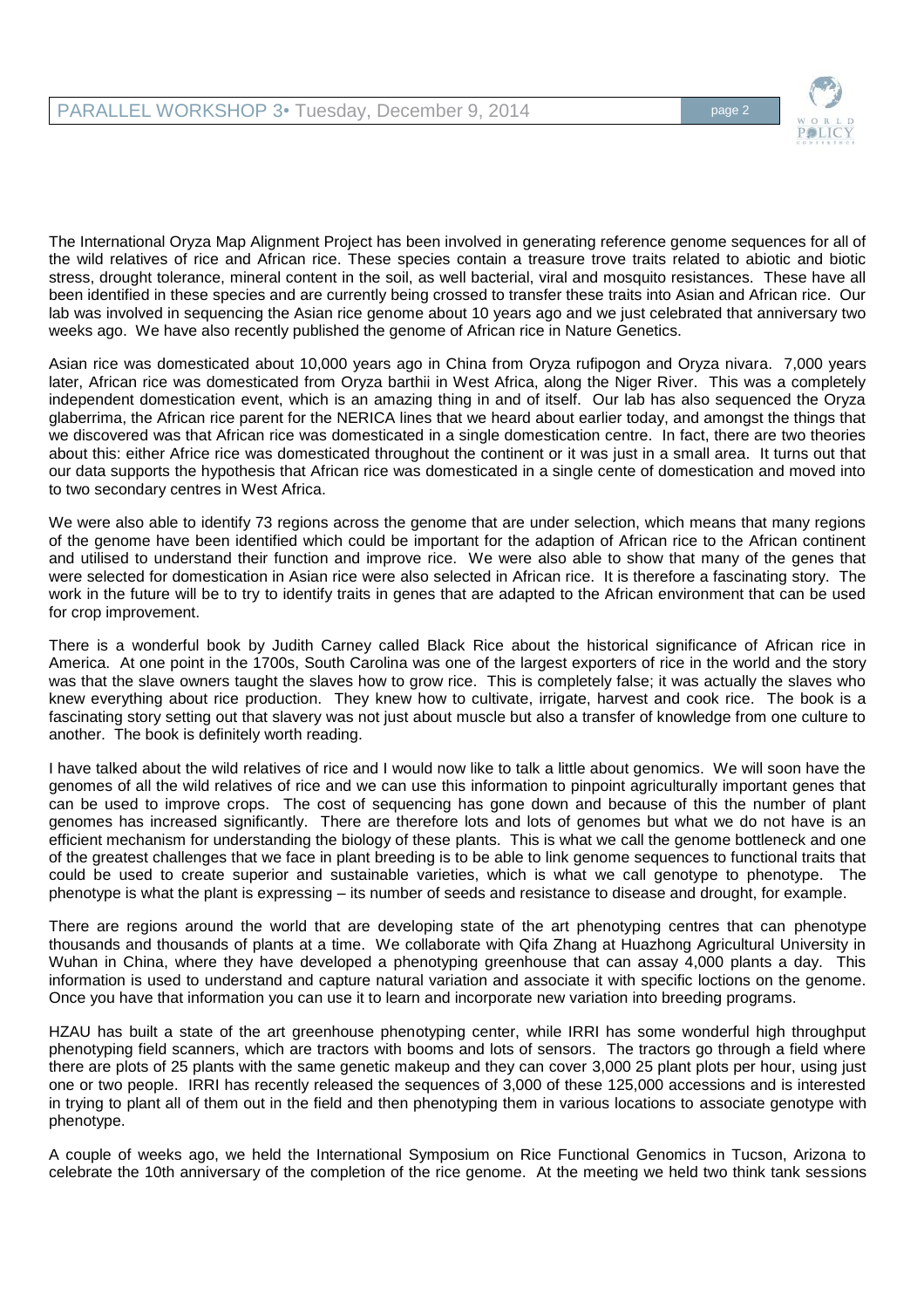

The International Oryza Map Alignment Project has been involved in generating reference genome sequences for all of the wild relatives of rice and African rice. These species contain a treasure trove traits related to abiotic and biotic stress, drought tolerance, mineral content in the soil, as well bacterial, viral and mosquito resistances. These have all been identified in these species and are currently being crossed to transfer these traits into Asian and African rice. Our lab was involved in sequencing the Asian rice genome about 10 years ago and we just celebrated that anniversary two weeks ago. We have also recently published the genome of African rice in Nature Genetics.

Asian rice was domesticated about 10,000 years ago in China from Oryza rufipogon and Oryza nivara. 7,000 years later, African rice was domesticated from Oryza barthii in West Africa, along the Niger River. This was a completely independent domestication event, which is an amazing thing in and of itself. Our lab has also sequenced the Oryza glaberrima, the African rice parent for the NERICA lines that we heard about earlier today, and amongst the things that we discovered was that African rice was domesticated in a single domestication centre. In fact, there are two theories about this: either Africe rice was domesticated throughout the continent or it was just in a small area. It turns out that our data supports the hypothesis that African rice was domesticated in a single cente of domestication and moved into to two secondary centres in West Africa.

We were also able to identify 73 regions across the genome that are under selection, which means that many regions of the genome have been identified which could be important for the adaption of African rice to the African continent and utilised to understand their function and improve rice. We were also able to show that many of the genes that were selected for domestication in Asian rice were also selected in African rice. It is therefore a fascinating story. The work in the future will be to try to identify traits in genes that are adapted to the African environment that can be used for crop improvement.

There is a wonderful book by Judith Carney called Black Rice about the historical significance of African rice in America. At one point in the 1700s, South Carolina was one of the largest exporters of rice in the world and the story was that the slave owners taught the slaves how to grow rice. This is completely false; it was actually the slaves who knew everything about rice production. They knew how to cultivate, irrigate, harvest and cook rice. The book is a fascinating story setting out that slavery was not just about muscle but also a transfer of knowledge from one culture to another. The book is definitely worth reading.

I have talked about the wild relatives of rice and I would now like to talk a little about genomics. We will soon have the genomes of all the wild relatives of rice and we can use this information to pinpoint agriculturally important genes that can be used to improve crops. The cost of sequencing has gone down and because of this the number of plant genomes has increased significantly. There are therefore lots and lots of genomes but what we do not have is an efficient mechanism for understanding the biology of these plants. This is what we call the genome bottleneck and one of the greatest challenges that we face in plant breeding is to be able to link genome sequences to functional traits that could be used to create superior and sustainable varieties, which is what we call genotype to phenotype. The phenotype is what the plant is expressing – its number of seeds and resistance to disease and drought, for example.

There are regions around the world that are developing state of the art phenotyping centres that can phenotype thousands and thousands of plants at a time. We collaborate with Qifa Zhang at Huazhong Agricultural University in Wuhan in China, where they have developed a phenotyping greenhouse that can assay 4,000 plants a day. This information is used to understand and capture natural variation and associate it with specific loctions on the genome. Once you have that information you can use it to learn and incorporate new variation into breeding programs.

HZAU has built a state of the art greenhouse phenotyping center, while IRRI has some wonderful high throughput phenotyping field scanners, which are tractors with booms and lots of sensors. The tractors go through a field where there are plots of 25 plants with the same genetic makeup and they can cover 3,000 25 plant plots per hour, using just one or two people. IRRI has recently released the sequences of 3,000 of these 125,000 accessions and is interested in trying to plant all of them out in the field and then phenotyping them in various locations to associate genotype with phenotype.

A couple of weeks ago, we held the International Symposium on Rice Functional Genomics in Tucson, Arizona to celebrate the 10th anniversary of the completion of the rice genome. At the meeting we held two think tank sessions